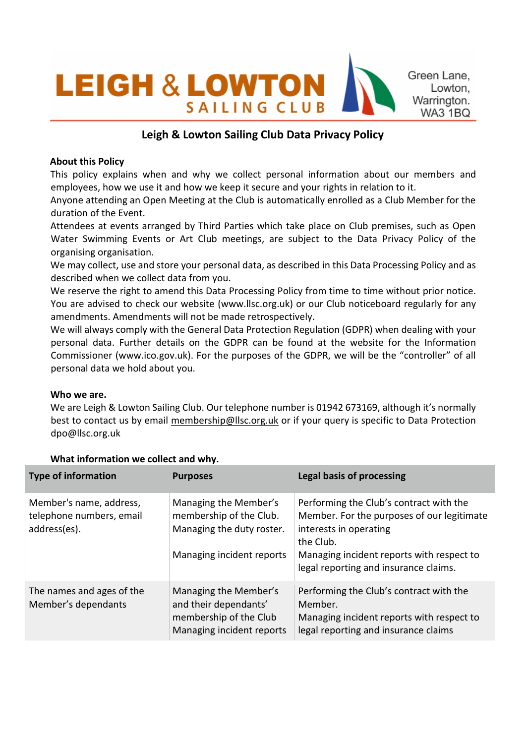

# **Leigh & Lowton Sailing Club Data Privacy Policy**

#### **About this Policy**

This policy explains when and why we collect personal information about our members and employees, how we use it and how we keep it secure and your rights in relation to it.

Anyone attending an Open Meeting at the Club is automatically enrolled as a Club Member for the duration of the Event.

Attendees at events arranged by Third Parties which take place on Club premises, such as Open Water Swimming Events or Art Club meetings, are subject to the Data Privacy Policy of the organising organisation.

We may collect, use and store your personal data, as described in this Data Processing Policy and as described when we collect data from you.

We reserve the right to amend this Data Processing Policy from time [to time without prior notice.](http://www.bassenthwaite-sc.org.uk/)  [You are advised to check our website](http://www.bassenthwaite-sc.org.uk/) (www.llsc.org.uk) [or our Club noticeboard regularly for any](http://www.bassenthwaite-sc.org.uk/) amendments. Amendments will not be made retrospectively.

We will always comply with the General Data Protection Regulation (GDPR) when dealing with your personal data. Further details on the GDPR can be found at the website for the Information Commissioner (www.ico.gov.uk). For the purposes of the GDPR, we will be the "controller" of all personal data we hold about you.

#### **Who we are.**

We are Leigh & Lowton Sailing Club. Our telephone number is 01942 673169, although it's normally best to contact us by email [membership@llsc.org.uk](mailto:membership@llsc.org.uk) or if your query is specific to Data Protection dpo@llsc.org.uk

| <b>Type of information</b>                                          | <b>Purposes</b>                                                                                            | <b>Legal basis of processing</b>                                                                                                                                                                                   |
|---------------------------------------------------------------------|------------------------------------------------------------------------------------------------------------|--------------------------------------------------------------------------------------------------------------------------------------------------------------------------------------------------------------------|
| Member's name, address,<br>telephone numbers, email<br>address(es). | Managing the Member's<br>membership of the Club.<br>Managing the duty roster.<br>Managing incident reports | Performing the Club's contract with the<br>Member. For the purposes of our legitimate<br>interests in operating<br>the Club.<br>Managing incident reports with respect to<br>legal reporting and insurance claims. |
| The names and ages of the<br>Member's dependants                    | Managing the Member's<br>and their dependants'<br>membership of the Club<br>Managing incident reports      | Performing the Club's contract with the<br>Member.<br>Managing incident reports with respect to<br>legal reporting and insurance claims                                                                            |

#### **What information we collect and why.**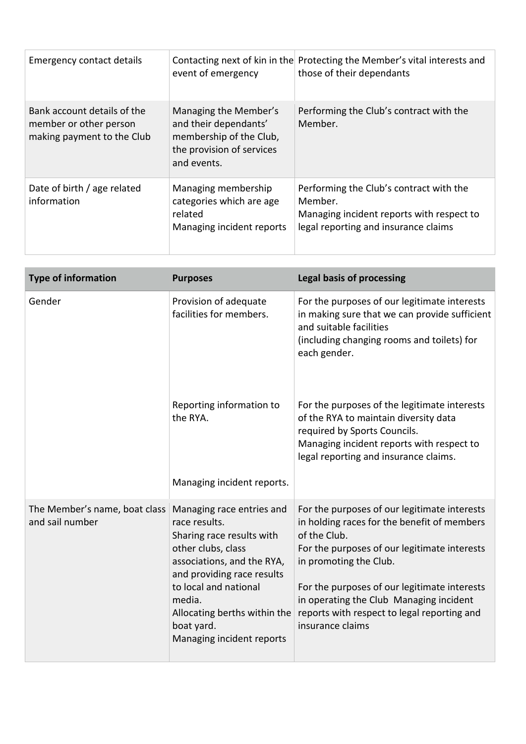| <b>Emergency contact details</b>                                                    | event of emergency                                                                                                    | Contacting next of kin in the Protecting the Member's vital interests and<br>those of their dependants                                  |
|-------------------------------------------------------------------------------------|-----------------------------------------------------------------------------------------------------------------------|-----------------------------------------------------------------------------------------------------------------------------------------|
| Bank account details of the<br>member or other person<br>making payment to the Club | Managing the Member's<br>and their dependants'<br>membership of the Club,<br>the provision of services<br>and events. | Performing the Club's contract with the<br>Member.                                                                                      |
| Date of birth / age related<br>information                                          | Managing membership<br>categories which are age<br>related<br>Managing incident reports                               | Performing the Club's contract with the<br>Member.<br>Managing incident reports with respect to<br>legal reporting and insurance claims |

| <b>Type of information</b>                       | <b>Purposes</b>                                                                                                                                                                                                                                                         | <b>Legal basis of processing</b>                                                                                                                                                                                                                                                                                                                    |
|--------------------------------------------------|-------------------------------------------------------------------------------------------------------------------------------------------------------------------------------------------------------------------------------------------------------------------------|-----------------------------------------------------------------------------------------------------------------------------------------------------------------------------------------------------------------------------------------------------------------------------------------------------------------------------------------------------|
| Gender                                           | Provision of adequate<br>facilities for members.                                                                                                                                                                                                                        | For the purposes of our legitimate interests<br>in making sure that we can provide sufficient<br>and suitable facilities<br>(including changing rooms and toilets) for<br>each gender.                                                                                                                                                              |
|                                                  | Reporting information to<br>the RYA.<br>Managing incident reports.                                                                                                                                                                                                      | For the purposes of the legitimate interests<br>of the RYA to maintain diversity data<br>required by Sports Councils.<br>Managing incident reports with respect to<br>legal reporting and insurance claims.                                                                                                                                         |
| The Member's name, boat class<br>and sail number | Managing race entries and<br>race results.<br>Sharing race results with<br>other clubs, class<br>associations, and the RYA,<br>and providing race results<br>to local and national<br>media.<br>Allocating berths within the<br>boat yard.<br>Managing incident reports | For the purposes of our legitimate interests<br>in holding races for the benefit of members<br>of the Club.<br>For the purposes of our legitimate interests<br>in promoting the Club.<br>For the purposes of our legitimate interests<br>in operating the Club Managing incident<br>reports with respect to legal reporting and<br>insurance claims |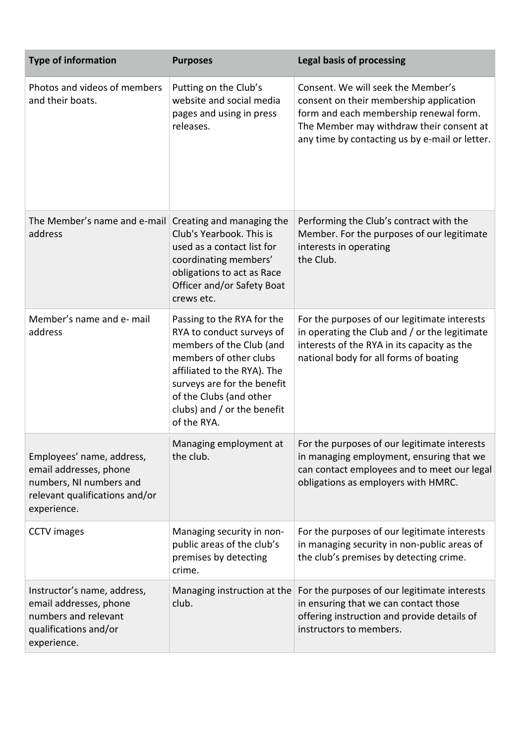| <b>Type of information</b>                                                                                                      | <b>Purposes</b>                                                                                                                                                                                                                                      | <b>Legal basis of processing</b>                                                                                                                                                                                      |
|---------------------------------------------------------------------------------------------------------------------------------|------------------------------------------------------------------------------------------------------------------------------------------------------------------------------------------------------------------------------------------------------|-----------------------------------------------------------------------------------------------------------------------------------------------------------------------------------------------------------------------|
| Photos and videos of members<br>and their boats.                                                                                | Putting on the Club's<br>website and social media<br>pages and using in press<br>releases.                                                                                                                                                           | Consent. We will seek the Member's<br>consent on their membership application<br>form and each membership renewal form.<br>The Member may withdraw their consent at<br>any time by contacting us by e-mail or letter. |
| The Member's name and e-mail Creating and managing the<br>address                                                               | Club's Yearbook. This is<br>used as a contact list for<br>coordinating members'<br>obligations to act as Race<br>Officer and/or Safety Boat<br>crews etc.                                                                                            | Performing the Club's contract with the<br>Member. For the purposes of our legitimate<br>interests in operating<br>the Club.                                                                                          |
| Member's name and e- mail<br>address                                                                                            | Passing to the RYA for the<br>RYA to conduct surveys of<br>members of the Club (and<br>members of other clubs<br>affiliated to the RYA). The<br>surveys are for the benefit<br>of the Clubs (and other<br>clubs) and / or the benefit<br>of the RYA. | For the purposes of our legitimate interests<br>in operating the Club and / or the legitimate<br>interests of the RYA in its capacity as the<br>national body for all forms of boating                                |
| Employees' name, address,<br>email addresses, phone<br>numbers, NI numbers and<br>relevant qualifications and/or<br>experience. | Managing employment at<br>the club.                                                                                                                                                                                                                  | For the purposes of our legitimate interests<br>in managing employment, ensuring that we<br>can contact employees and to meet our legal<br>obligations as employers with HMRC.                                        |
| <b>CCTV</b> images                                                                                                              | Managing security in non-<br>public areas of the club's<br>premises by detecting<br>crime.                                                                                                                                                           | For the purposes of our legitimate interests<br>in managing security in non-public areas of<br>the club's premises by detecting crime.                                                                                |
| Instructor's name, address,<br>email addresses, phone<br>numbers and relevant<br>qualifications and/or<br>experience.           | Managing instruction at the<br>club.                                                                                                                                                                                                                 | For the purposes of our legitimate interests<br>in ensuring that we can contact those<br>offering instruction and provide details of<br>instructors to members.                                                       |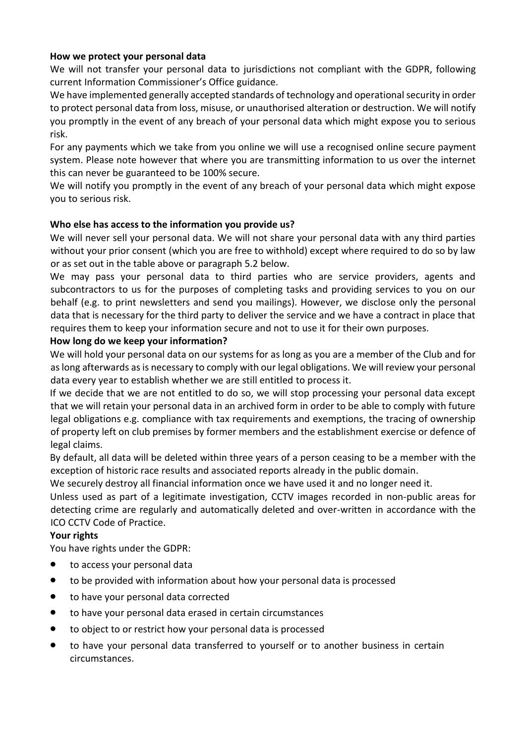# **How we protect your personal data**

We will not transfer your personal data to jurisdictions not compliant with the GDPR, following current Information Commissioner's Office guidance.

We have implemented generally accepted standards of technology and operational security in order to protect personal data from loss, misuse, or unauthorised alteration or destruction. We will notify you promptly in the event of any breach of your personal data which might expose you to serious risk.

For any payments which we take from you online we will use a recognised online secure payment system. Please note however that where you are transmitting information to us over the internet this can never be guaranteed to be 100% secure.

We will notify you promptly in the event of any breach of your personal data which might expose you to serious risk.

## **Who else has access to the information you provide us?**

We will never sell your personal data. We will not share your personal data with any third parties without your prior consent (which you are free to withhold) except where required to do so by law or as set out in the table above or paragraph 5.2 below.

We may pass your personal data to third parties who are service providers, agents and subcontractors to us for the purposes of completing tasks and providing services to you on our behalf (e.g. to print newsletters and send you mailings). However, we disclose only the personal data that is necessary for the third party to deliver the service and we have a contract in place that requires them to keep your information secure and not to use it for their own purposes.

## **How long do we keep your information?**

We will hold your personal data on our systems for as long as you are a member of the Club and for as long afterwards as is necessary to comply with our legal obligations. We will review your personal data every year to establish whether we are still entitled to process it.

If we decide that we are not entitled to do so, we will stop processing your personal data except that we will retain your personal data in an archived form in order to be able to comply with future legal obligations e.g. compliance with tax requirements and exemptions, the tracing of ownership of property left on club premises by former members and the establishment exercise or defence of legal claims.

By default, all data will be deleted within three years of a person ceasing to be a member with the exception of historic race results and associated reports already in the public domain.

We securely destroy all financial information once we have used it and no longer need it.

Unless used as part of a legitimate investigation, CCTV images recorded in non-public areas for detecting crime are regularly and automatically deleted and over-written in accordance with the ICO CCTV Code of Practice.

#### **Your rights**

You have rights under the GDPR:

- to access your personal data
- to be provided with information about how your personal data is processed
- to have your personal data corrected
- to have your personal data erased in certain circumstances
- to object to or restrict how your personal data is processed
- to have your personal data transferred to yourself or to another business in certain circumstances.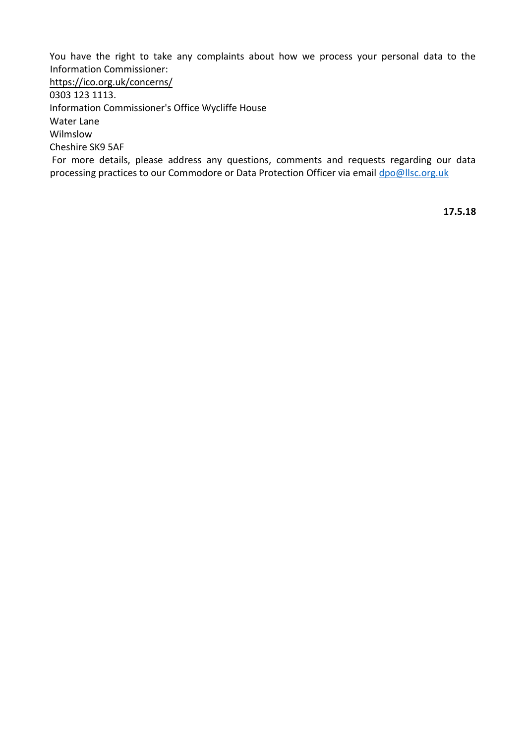You have the right to take any complaints about how we process your personal data to the Information Commissioner: <https://ico.org.uk/concerns/> 0303 123 1113. Information Commissioner's Office Wycliffe House Water Lane Wilmslow

Cheshire SK9 5AF

For more details, please address any questions, comments and requests regarding our data processing practices to our Commodore or Data Protection Officer via email [dpo@llsc.org.uk](mailto:dpo@llsc.org.uk)

**17.5.18**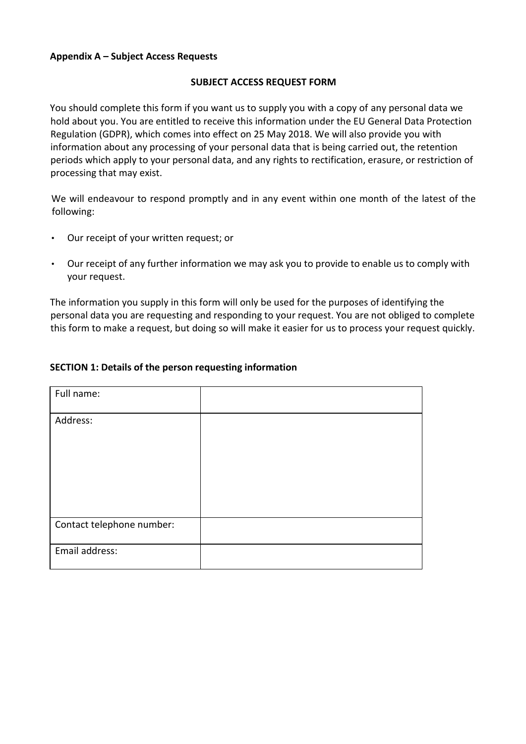#### **Appendix A – Subject Access Requests**

### **SUBJECT ACCESS REQUEST FORM**

You should complete this form if you want us to supply you with a copy of any personal data we hold about you. You are entitled to receive this information under the EU General Data Protection Regulation (GDPR), which comes into effect on 25 May 2018. We will also provide you with information about any processing of your personal data that is being carried out, the retention periods which apply to your personal data, and any rights to rectification, erasure, or restriction of processing that may exist.

We will endeavour to respond promptly and in any event within one month of the latest of the following:

- Our receipt of your written request; or
- Our receipt of any further information we may ask you to provide to enable us to comply with your request.

The information you supply in this form will only be used for the purposes of identifying the personal data you are requesting and responding to your request. You are not obliged to complete this form to make a request, but doing so will make it easier for us to process your request quickly.

#### **SECTION 1: Details of the person requesting information**

| Full name:                |  |
|---------------------------|--|
|                           |  |
| Address:                  |  |
|                           |  |
|                           |  |
|                           |  |
|                           |  |
|                           |  |
|                           |  |
|                           |  |
|                           |  |
|                           |  |
|                           |  |
|                           |  |
|                           |  |
|                           |  |
| Contact telephone number: |  |
|                           |  |
|                           |  |
| Email address:            |  |
|                           |  |
|                           |  |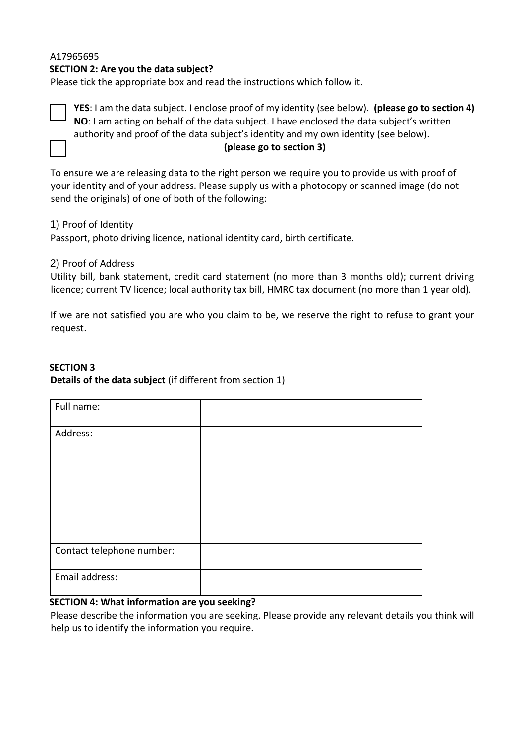#### A17965695

#### **SECTION 2: Are you the data subject?**

Please tick the appropriate box and read the instructions which follow it.



**YES**: I am the data subject. I enclose proof of my identity (see below). **(please go to section 4) NO**: I am acting on behalf of the data subject. I have enclosed the data subject's written authority and proof of the data subject's identity and my own identity (see below). **(please go to section 3)** 

To ensure we are releasing data to the right person we require you to provide us with proof of your identity and of your address. Please supply us with a photocopy or scanned image (do not send the originals) of one of both of the following:

1) Proof of Identity

Passport, photo driving licence, national identity card, birth certificate.

2) Proof of Address

Utility bill, bank statement, credit card statement (no more than 3 months old); current driving licence; current TV licence; local authority tax bill, HMRC tax document (no more than 1 year old).

If we are not satisfied you are who you claim to be, we reserve the right to refuse to grant your request.

#### **SECTION 3**

**Details of the data subject** (if different from section 1)

| Full name:                |  |
|---------------------------|--|
| Address:                  |  |
|                           |  |
|                           |  |
|                           |  |
|                           |  |
| Contact telephone number: |  |
| Email address:            |  |

#### **SECTION 4: What information are you seeking?**

Please describe the information you are seeking. Please provide any relevant details you think will help us to identify the information you require.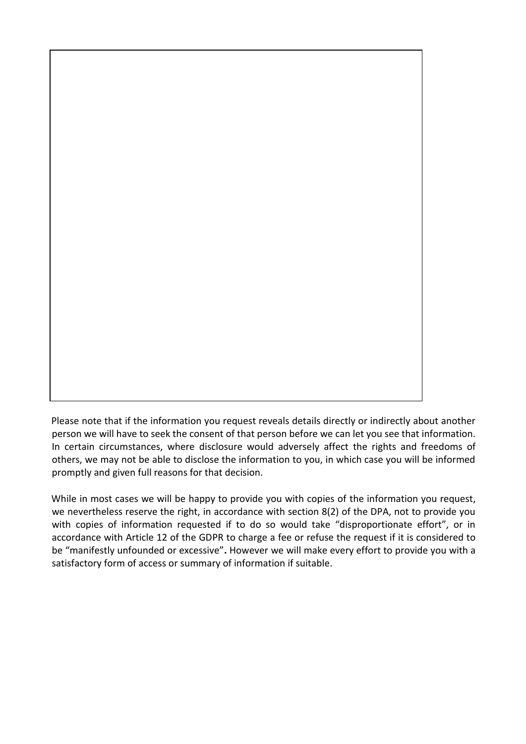Please note that if the information you request reveals details directly or indirectly about another person we will have to seek the consent of that person before we can let you see that information. In certain circumstances, where disclosure would adversely affect the rights and freedoms of others, we may not be able to disclose the information to you, in which case you will be informed promptly and given full reasons for that decision.

While in most cases we will be happy to provide you with copies of the information you request, we nevertheless reserve the right, in accordance with section 8(2) of the DPA, not to provide you with copies of information requested if to do so would take "disproportionate effort", or in accordance with Article 12 of the GDPR to charge a fee or refuse the request if it is considered to be "manifestly unfounded or excessive"**.** However we will make every effort to provide you with a satisfactory form of access or summary of information if suitable.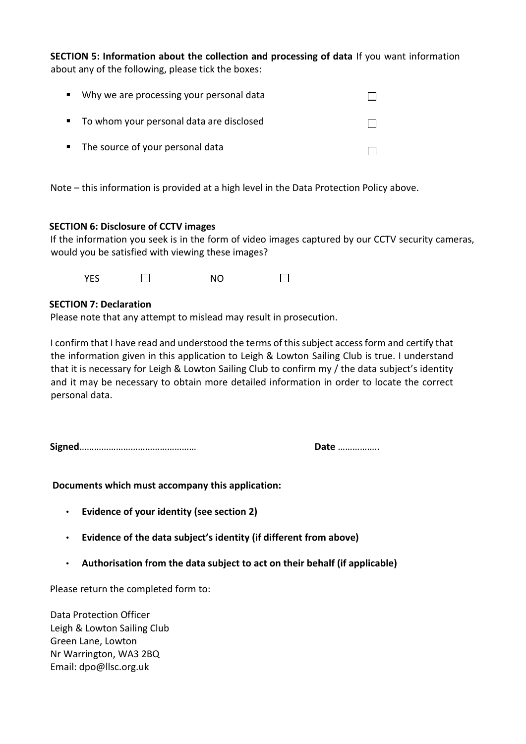**SECTION 5: Information about the collection and processing of data** If you want information about any of the following, please tick the boxes:

| $\blacksquare$ | Why we are processing your personal data   |  |
|----------------|--------------------------------------------|--|
|                | ■ To whom your personal data are disclosed |  |
|                | • The source of your personal data         |  |

Note – this information is provided at a high level in the Data Protection Policy above.

# **SECTION 6: Disclosure of CCTV images**

If the information you seek is in the form of video images captured by our CCTV security cameras, would you be satisfied with viewing these images?

 $\Box$ YES  $\Box$  NO

# **SECTION 7: Declaration**

Please note that any attempt to mislead may result in prosecution.

I confirm that I have read and understood the terms of this subject access form and certify that the information given in this application to Leigh & Lowton Sailing Club is true. I understand that it is necessary for Leigh & Lowton Sailing Club to confirm my / the data subject's identity and it may be necessary to obtain more detailed information in order to locate the correct personal data.

**Signed**………………………………………… **Date** ……………..

**Documents which must accompany this application:** 

- **Evidence of your identity (see section 2)**
- **Evidence of the data subject's identity (if different from above)**
- **Authorisation from the data subject to act on their behalf (if applicable)**

Please return the completed form to:

Data Protection Officer Leigh & Lowton Sailing Club Green Lane, Lowton Nr Warrington, WA3 2BQ Email: dpo@llsc.org.uk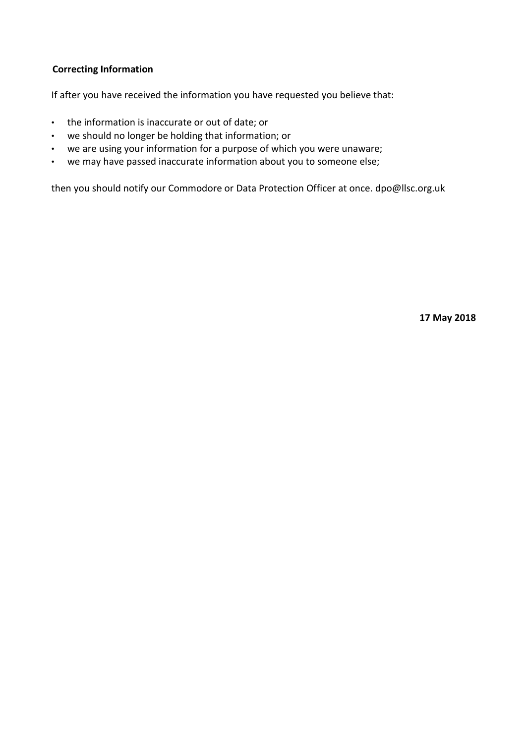## **Correcting Information**

If after you have received the information you have requested you believe that:

- the information is inaccurate or out of date; or
- we should no longer be holding that information; or
- we are using your information for a purpose of which you were unaware;
- we may have passed inaccurate information about you to someone else;

then you should notify our Commodore or Data Protection Officer at once. dpo@llsc.org.uk

**17 May 2018**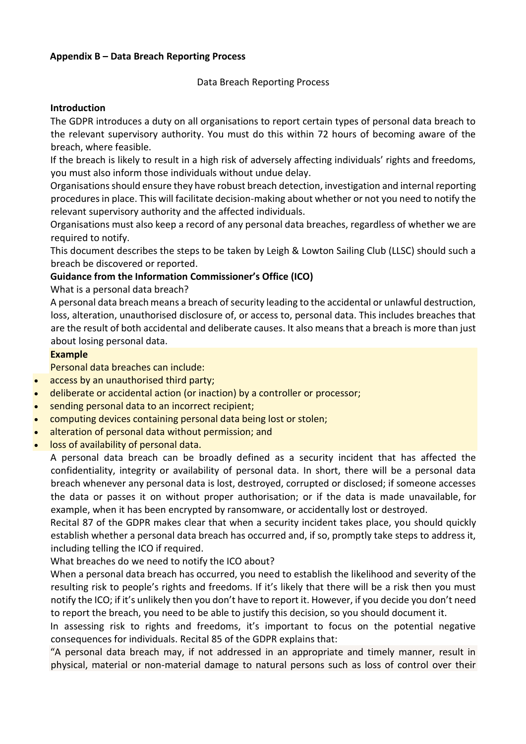### **Appendix B – Data Breach Reporting Process**

### Data Breach Reporting Process

#### **Introduction**

The GDPR introduces a duty on all organisations to report certain types of personal data breach to the relevant supervisory authority. You must do this within 72 hours of becoming aware of the breach, where feasible.

If the breach is likely to result in a high risk of adversely affecting individuals' rights and freedoms, you must also inform those individuals without undue delay.

Organisations should ensure they have robust breach detection, investigation and internal reporting procedures in place. This will facilitate decision-making about whether or not you need to notify the relevant supervisory authority and the affected individuals.

Organisations must also keep a record of any personal data breaches, regardless of whether we are required to notify.

This document describes the steps to be taken by Leigh & Lowton Sailing Club (LLSC) should such a breach be discovered or reported.

# **Guidance from the Information Commissioner's Office (ICO)**

What is a personal data breach?

A personal data breach means a breach of security leading to the accidental or unlawful destruction, loss, alteration, unauthorised disclosure of, or access to, personal data. This includes breaches that are the result of both accidental and deliberate causes. It also means that a breach is more than just about losing personal data.

# **Example**

Personal data breaches can include:

- access by an unauthorised third party;
- deliberate or accidental action (or inaction) by a controller or processor;
- sending personal data to an incorrect recipient;
- computing devices containing personal data being lost or stolen;
- alteration of personal data without permission; and
- loss of availability of personal data.

A personal data breach can be broadly defined as a security incident that has affected the confidentiality, integrity or availability of personal data. In short, there will be a personal data breach whenever any personal data is lost, destroyed, corrupted or disclosed; if someone accesses the data or passes it on without proper authorisation; or if the data is made unavailable, for example, when it has been encrypted by ransomware, or accidentally lost or destroyed.

Recital 87 of the GDPR makes clear that when a security incident takes place, you should quickly establish whether a personal data breach has occurred and, if so, promptly take steps to address it, including telling the ICO if required.

What breaches do we need to notify the ICO about?

When a personal data breach has occurred, you need to establish the likelihood and severity of the resulting risk to people's rights and freedoms. If it's likely that there will be a risk then you must notify the ICO; if it's unlikely then you don't have to report it. However, if you decide you don't need to report the breach, you need to be able to justify this decision, so you should document it.

In assessing risk to rights and freedoms, it's important to focus on the potential negative consequences for individuals. Recital 85 of the GDPR explains that:

"A personal data breach may, if not addressed in an appropriate and timely manner, result in physical, material or non-material damage to natural persons such as loss of control over their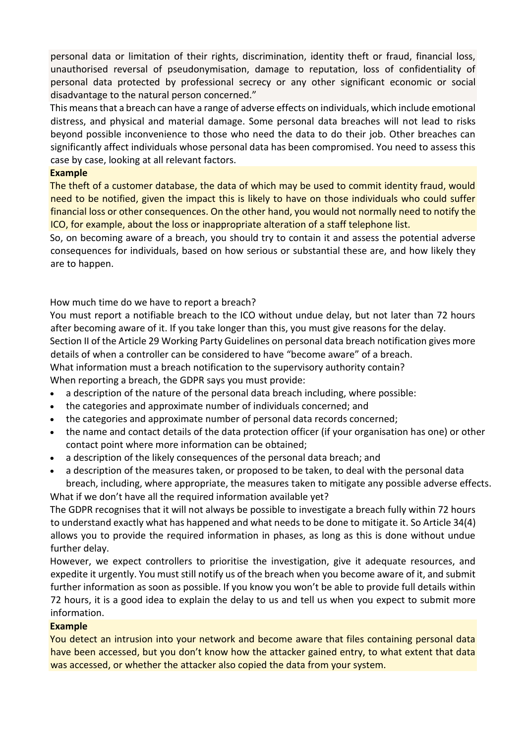personal data or limitation of their rights, discrimination, identity theft or fraud, financial loss, unauthorised reversal of pseudonymisation, damage to reputation, loss of confidentiality of personal data protected by professional secrecy or any other significant economic or social disadvantage to the natural person concerned."

This means that a breach can have a range of adverse effects on individuals, which include emotional distress, and physical and material damage. Some personal data breaches will not lead to risks beyond possible inconvenience to those who need the data to do their job. Other breaches can significantly affect individuals whose personal data has been compromised. You need to assess this case by case, looking at all relevant factors.

## **Example**

The theft of a customer database, the data of which may be used to commit identity fraud, would need to be notified, given the impact this is likely to have on those individuals who could suffer financial loss or other consequences. On the other hand, you would not normally need to notify the ICO, for example, about the loss or inappropriate alteration of a staff telephone list.

So, on becoming aware of a breach, you should try to contain it and assess the potential adverse consequences for individuals, based on how serious or substantial these are, and how likely they are to happen.

How much time do we have to report a breach?

You must report a notifiable breach to the ICO without undue delay, but not later than 72 hours after becoming aware of it. If you take longer than this, you must give reasons for the delay. Section II of the Article 29 Working Party Guidelines on personal data breach notification gives more details of when a controller can be considered to have "become aware" of a breach. What information must a breach notification to the supervisory authority contain? When reporting a breach, the GDPR says you must provide:

- a description of the nature of the personal data breach including, where possible:
- the categories and approximate number of individuals concerned; and
- the categories and approximate number of personal data records concerned;
- the name and contact details of the data protection officer (if your organisation has one) or other contact point where more information can be obtained;
- a description of the likely consequences of the personal data breach; and
- a description of the measures taken, or proposed to be taken, to deal with the personal data breach, including, where appropriate, the measures taken to mitigate any possible adverse effects.

What if we don't have all the required information available yet? The GDPR recognises that it will not always be possible to investigate a breach fully within 72 hours

to understand exactly what has happened and what needs to be done to mitigate it. So Article 34(4) allows you to provide the required information in phases, as long as this is done without undue further delay.

However, we expect controllers to prioritise the investigation, give it adequate resources, and expedite it urgently. You must still notify us of the breach when you become aware of it, and submit further information as soon as possible. If you know you won't be able to provide full details within 72 hours, it is a good idea to explain the delay to us and tell us when you expect to submit more information.

#### **Example**

You detect an intrusion into your network and become aware that files containing personal data have been accessed, but you don't know how the attacker gained entry, to what extent that data was accessed, or whether the attacker also copied the data from your system.